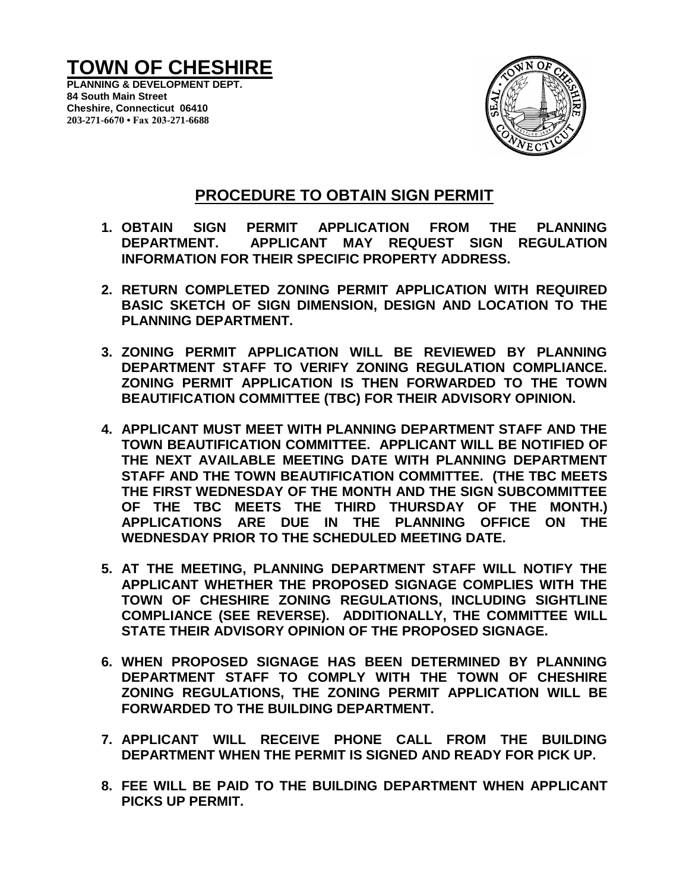# **TOWN OF CHESHIRE**

**PLANNING & DEVELOPMENT DEPT. 84 South Main Street Cheshire, Connecticut 06410 203-271-6670 • Fax 203-271-6688**



### **PROCEDURE TO OBTAIN SIGN PERMIT**

- **1. OBTAIN SIGN PERMIT APPLICATION FROM THE PLANNING DEPARTMENT. APPLICANT MAY REQUEST SIGN REGULATION INFORMATION FOR THEIR SPECIFIC PROPERTY ADDRESS.**
- **2. RETURN COMPLETED ZONING PERMIT APPLICATION WITH REQUIRED BASIC SKETCH OF SIGN DIMENSION, DESIGN AND LOCATION TO THE PLANNING DEPARTMENT.**
- **3. ZONING PERMIT APPLICATION WILL BE REVIEWED BY PLANNING DEPARTMENT STAFF TO VERIFY ZONING REGULATION COMPLIANCE. ZONING PERMIT APPLICATION IS THEN FORWARDED TO THE TOWN BEAUTIFICATION COMMITTEE (TBC) FOR THEIR ADVISORY OPINION.**
- **4. APPLICANT MUST MEET WITH PLANNING DEPARTMENT STAFF AND THE TOWN BEAUTIFICATION COMMITTEE. APPLICANT WILL BE NOTIFIED OF THE NEXT AVAILABLE MEETING DATE WITH PLANNING DEPARTMENT STAFF AND THE TOWN BEAUTIFICATION COMMITTEE. (THE TBC MEETS THE FIRST WEDNESDAY OF THE MONTH AND THE SIGN SUBCOMMITTEE OF THE TBC MEETS THE THIRD THURSDAY OF THE MONTH.) APPLICATIONS ARE DUE IN THE PLANNING OFFICE ON THE WEDNESDAY PRIOR TO THE SCHEDULED MEETING DATE.**
- **5. AT THE MEETING, PLANNING DEPARTMENT STAFF WILL NOTIFY THE APPLICANT WHETHER THE PROPOSED SIGNAGE COMPLIES WITH THE TOWN OF CHESHIRE ZONING REGULATIONS, INCLUDING SIGHTLINE COMPLIANCE (SEE REVERSE). ADDITIONALLY, THE COMMITTEE WILL STATE THEIR ADVISORY OPINION OF THE PROPOSED SIGNAGE.**
- **6. WHEN PROPOSED SIGNAGE HAS BEEN DETERMINED BY PLANNING DEPARTMENT STAFF TO COMPLY WITH THE TOWN OF CHESHIRE ZONING REGULATIONS, THE ZONING PERMIT APPLICATION WILL BE FORWARDED TO THE BUILDING DEPARTMENT.**
- **7. APPLICANT WILL RECEIVE PHONE CALL FROM THE BUILDING DEPARTMENT WHEN THE PERMIT IS SIGNED AND READY FOR PICK UP.**
- **8. FEE WILL BE PAID TO THE BUILDING DEPARTMENT WHEN APPLICANT PICKS UP PERMIT.**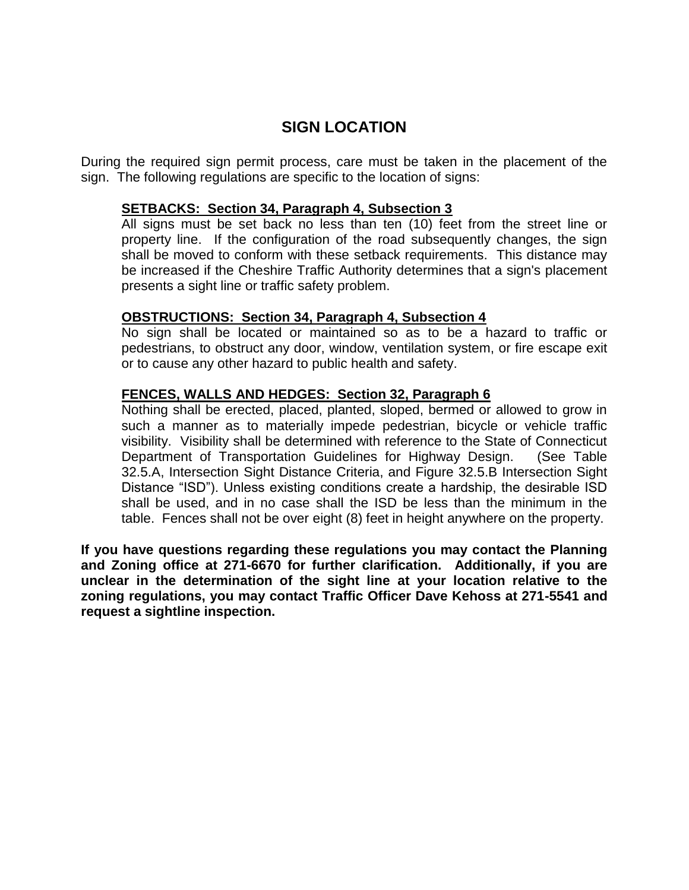## **SIGN LOCATION**

During the required sign permit process, care must be taken in the placement of the sign. The following regulations are specific to the location of signs:

#### **SETBACKS: Section 34, Paragraph 4, Subsection 3**

All signs must be set back no less than ten (10) feet from the street line or property line. If the configuration of the road subsequently changes, the sign shall be moved to conform with these setback requirements. This distance may be increased if the Cheshire Traffic Authority determines that a sign's placement presents a sight line or traffic safety problem.

#### **OBSTRUCTIONS: Section 34, Paragraph 4, Subsection 4**

No sign shall be located or maintained so as to be a hazard to traffic or pedestrians, to obstruct any door, window, ventilation system, or fire escape exit or to cause any other hazard to public health and safety.

#### **FENCES, WALLS AND HEDGES: Section 32, Paragraph 6**

Nothing shall be erected, placed, planted, sloped, bermed or allowed to grow in such a manner as to materially impede pedestrian, bicycle or vehicle traffic visibility. Visibility shall be determined with reference to the State of Connecticut Department of Transportation Guidelines for Highway Design. (See Table 32.5.A, Intersection Sight Distance Criteria, and Figure 32.5.B Intersection Sight Distance "ISD"). Unless existing conditions create a hardship, the desirable ISD shall be used, and in no case shall the ISD be less than the minimum in the table. Fences shall not be over eight (8) feet in height anywhere on the property.

**If you have questions regarding these regulations you may contact the Planning and Zoning office at 271-6670 for further clarification. Additionally, if you are unclear in the determination of the sight line at your location relative to the zoning regulations, you may contact Traffic Officer Dave Kehoss at 271-5541 and request a sightline inspection.**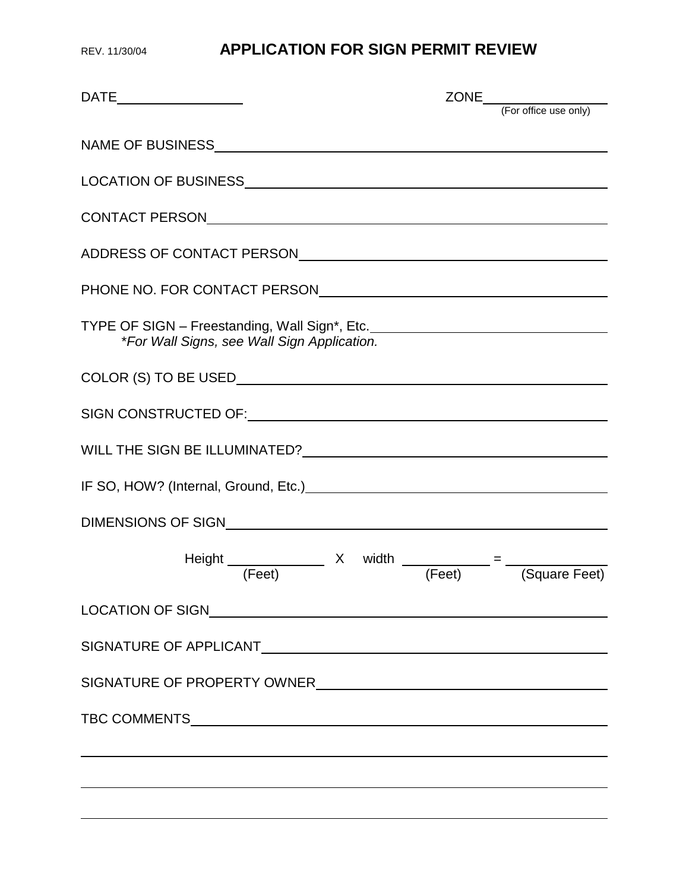## REV. 11/30/04 **APPLICATION FOR SIGN PERMIT REVIEW**

| TYPE OF SIGN - Freestanding, Wall Sign*, Etc. __________________________________<br>*For Wall Signs, see Wall Sign Application.                                                                                                |  |
|--------------------------------------------------------------------------------------------------------------------------------------------------------------------------------------------------------------------------------|--|
|                                                                                                                                                                                                                                |  |
| SIGN CONSTRUCTED OF: University of the Construction of the Construction of the Construction of the Construction of the Construction of the Construction of the Construction of the Construction of the Construction of the Con |  |
|                                                                                                                                                                                                                                |  |
|                                                                                                                                                                                                                                |  |
|                                                                                                                                                                                                                                |  |
| Height $\frac{x}{(Feet)}$ X width $\frac{x}{(Feet)}$ = $\frac{x}{(Square Feet)}$                                                                                                                                               |  |
|                                                                                                                                                                                                                                |  |
|                                                                                                                                                                                                                                |  |
| SIGNATURE OF PROPERTY OWNER                                                                                                                                                                                                    |  |
|                                                                                                                                                                                                                                |  |
|                                                                                                                                                                                                                                |  |
|                                                                                                                                                                                                                                |  |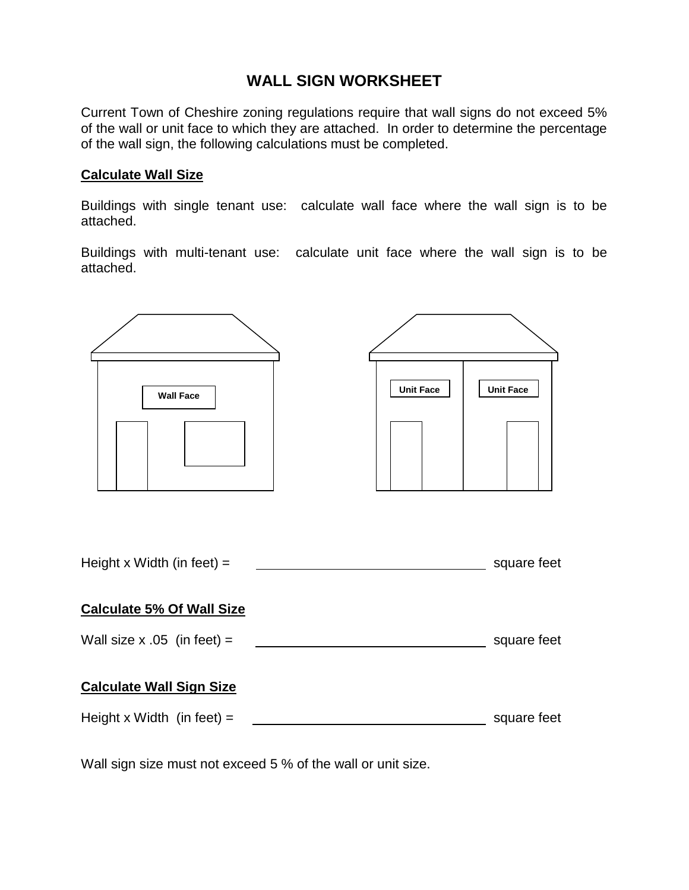## **WALL SIGN WORKSHEET**

Current Town of Cheshire zoning regulations require that wall signs do not exceed 5% of the wall or unit face to which they are attached. In order to determine the percentage of the wall sign, the following calculations must be completed.

### **Calculate Wall Size**

Buildings with single tenant use: calculate wall face where the wall sign is to be attached.

Buildings with multi-tenant use: calculate unit face where the wall sign is to be attached.



Wall sign size must not exceed 5 % of the wall or unit size.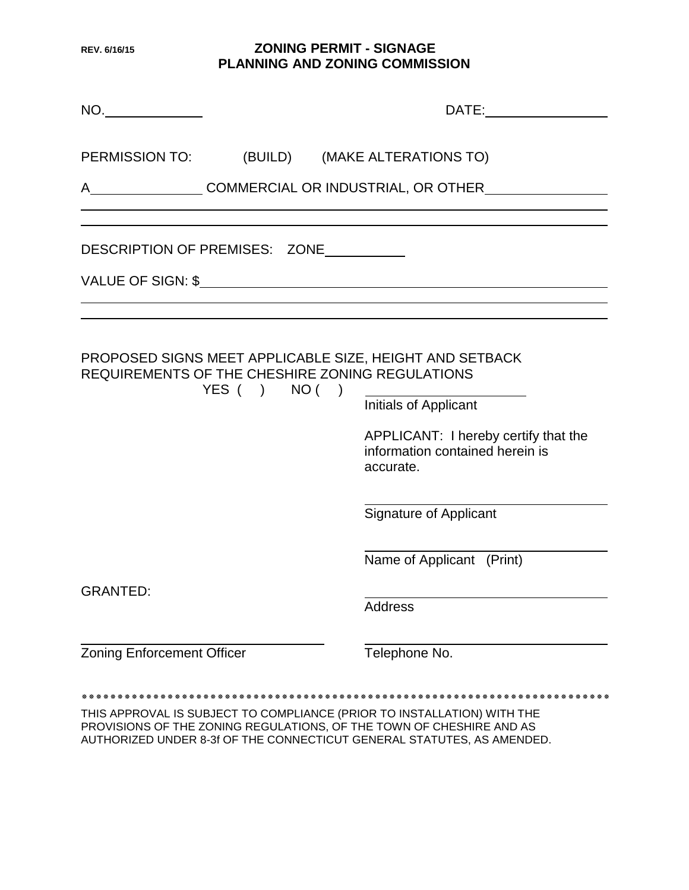### **REV. 6/16/15 ZONING PERMIT - SIGNAGE PLANNING AND ZONING COMMISSION**

| NO.                               |              | DATE:                                                                                                                                                                                                                       |
|-----------------------------------|--------------|-----------------------------------------------------------------------------------------------------------------------------------------------------------------------------------------------------------------------------|
|                                   |              | PERMISSION TO: (BUILD) (MAKE ALTERATIONS TO)                                                                                                                                                                                |
|                                   |              | A COMMERCIAL OR INDUSTRIAL, OR OTHER                                                                                                                                                                                        |
| DESCRIPTION OF PREMISES: ZONE     |              |                                                                                                                                                                                                                             |
|                                   |              |                                                                                                                                                                                                                             |
|                                   | YES( ) NO( ) | PROPOSED SIGNS MEET APPLICABLE SIZE, HEIGHT AND SETBACK<br>REQUIREMENTS OF THE CHESHIRE ZONING REGULATIONS<br>Initials of Applicant<br>APPLICANT: I hereby certify that the<br>information contained herein is<br>accurate. |
|                                   |              | <b>Signature of Applicant</b>                                                                                                                                                                                               |
|                                   |              | Name of Applicant (Print)                                                                                                                                                                                                   |
| <b>GRANTED:</b>                   |              | <b>Address</b>                                                                                                                                                                                                              |
| <b>Zoning Enforcement Officer</b> |              | Telephone No.                                                                                                                                                                                                               |
|                                   |              | THIS APPROVAL IS SUBJECT TO COMPLIANCE (PRIOR TO INSTALLATION) WITH THE                                                                                                                                                     |

PROVISIONS OF THE ZONING REGULATIONS, OF THE TOWN OF CHESHIRE AND AS AUTHORIZED UNDER 8-3f OF THE CONNECTICUT GENERAL STATUTES, AS AMENDED.